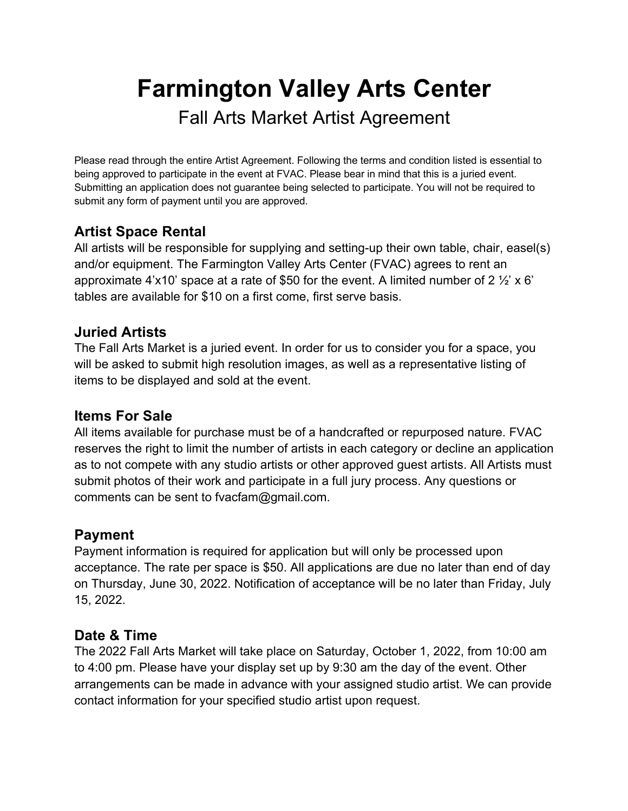# **Farmington Valley Arts Center**  Fall Arts Market Artist Agreement

Please read through the entire Artist Agreement. Following the terms and condition listed is essential to being approved to participate in the event at FVAC. Please bear in mind that this is a juried event. Submitting an application does not guarantee being selected to participate. You will not be required to submit any form of payment until you are approved.

# **Artist Space Rental**

All artists will be responsible for supplying and setting-up their own table, chair, easel(s) and/or equipment. The Farmington Valley Arts Center (FVAC) agrees to rent an approximate 4'x10' space at a rate of \$50 for the event. A limited number of 2  $\frac{1}{2}$ ' x 6' tables are available for \$10 on a first come, first serve basis.

## **Juried Artists**

The Fall Arts Market is a juried event. In order for us to consider you for a space, you will be asked to submit high resolution images, as well as a representative listing of items to be displayed and sold at the event.

## **Items For Sale**

All items available for purchase must be of a handcrafted or repurposed nature. FVAC reserves the right to limit the number of artists in each category or decline an application as to not compete with any studio artists or other approved guest artists. All Artists must submit photos of their work and participate in a full jury process. Any questions or comments can be sent to fvacfam@gmail.com.

## **Payment**

Payment information is required for application but will only be processed upon acceptance. The rate per space is \$50. All applications are due no later than end of day on Thursday, June 30, 2022. Notification of acceptance will be no later than Friday, July 15, 2022.

## **Date & Time**

The 2022 Fall Arts Market will take place on Saturday, October 1, 2022, from 10:00 am to 4:00 pm. Please have your display set up by 9:30 am the day of the event. Other arrangements can be made in advance with your assigned studio artist. We can provide contact information for your specified studio artist upon request.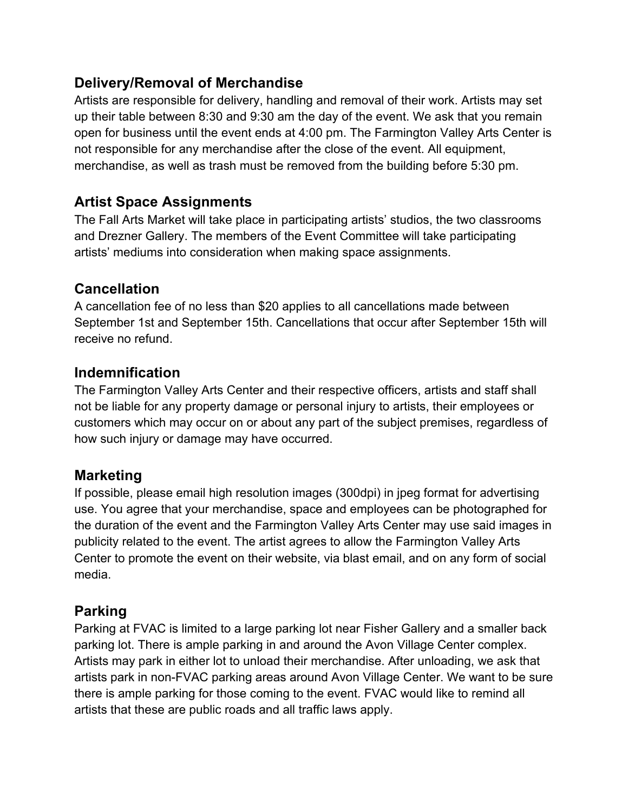## **Delivery/Removal of Merchandise**

Artists are responsible for delivery, handling and removal of their work. Artists may set up their table between 8:30 and 9:30 am the day of the event. We ask that you remain open for business until the event ends at 4:00 pm. The Farmington Valley Arts Center is not responsible for any merchandise after the close of the event. All equipment, merchandise, as well as trash must be removed from the building before 5:30 pm.

## **Artist Space Assignments**

The Fall Arts Market will take place in participating artists' studios, the two classrooms and Drezner Gallery. The members of the Event Committee will take participating artists' mediums into consideration when making space assignments.

#### **Cancellation**

A cancellation fee of no less than \$20 applies to all cancellations made between September 1st and September 15th. Cancellations that occur after September 15th will receive no refund.

#### **Indemnification**

The Farmington Valley Arts Center and their respective officers, artists and staff shall not be liable for any property damage or personal injury to artists, their employees or customers which may occur on or about any part of the subject premises, regardless of how such injury or damage may have occurred.

#### **Marketing**

If possible, please email high resolution images (300dpi) in jpeg format for advertising use. You agree that your merchandise, space and employees can be photographed for the duration of the event and the Farmington Valley Arts Center may use said images in publicity related to the event. The artist agrees to allow the Farmington Valley Arts Center to promote the event on their website, via blast email, and on any form of social media.

## **Parking**

Parking at FVAC is limited to a large parking lot near Fisher Gallery and a smaller back parking lot. There is ample parking in and around the Avon Village Center complex. Artists may park in either lot to unload their merchandise. After unloading, we ask that artists park in non-FVAC parking areas around Avon Village Center. We want to be sure there is ample parking for those coming to the event. FVAC would like to remind all artists that these are public roads and all traffic laws apply.